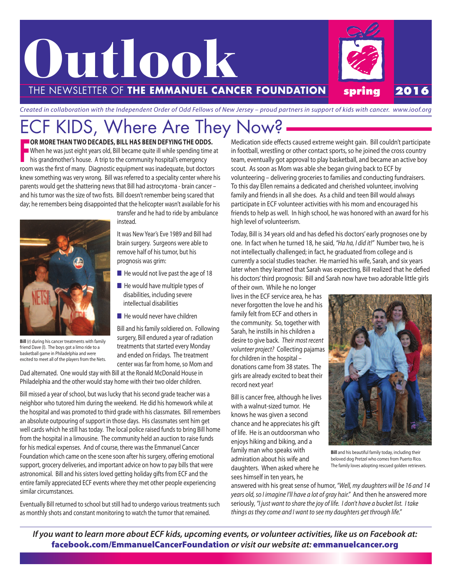

Created in collaboration with the Independent Order of Odd Fellows of New Jersey – proud partners in support of kids with cancer. www.ioof.org

## ECF KIDS, Where Are They Now?

F **OR MORE THAN TWO DECADES, BILL HAS BEEN DEfyINg THE ODDS.** When he was just eight years old, Bill became quite ill while spending time at his grandmother's house. A trip to the community hospital's emergency room was the first of many. Diagnostic equipment was inadequate, but doctors knew something was very wrong. Bill was referred to a speciality center where his parents would get the shattering news that Bill had astrocytoma - brain cancer – and his tumor was the size of two fists. Bill doesn't remember being scared that day; he remembers being disappointed that the helicopter wasn't available for his



**Bill** (r) during his cancer treatments with family friend Dave (l). The boys got a limo ride to a basketball game in Philadelphia and were excited to meet all of the players from the Nets.

transfer and he had to ride by ambulance instead.

It was New Year's Eve 1989 and Bill had brain surgery. Surgeons were able to remove half of his tumor, but his prognosis was grim:

- $\blacksquare$  He would not live past the age of 18
- $\blacksquare$  He would have multiple types of disabilities, including severe intellectual disabilities
- $\blacksquare$  He would never have children

Bill and his family soldiered on. Following surgery, Bill endured a year of radiation treatments that started every Monday and ended on Fridays. The treatment center was far from home, so Mom and

Dad alternated. One would stay with Bill at the Ronald McDonald House in Philadelphia and the other would stay home with their two older children.

Bill missed a year of school, but was lucky that his second grade teacher was a neighbor who tutored him during the weekend. He did his homework while at the hospital and was promoted to third grade with his classmates. Bill remembers an absolute outpouring of support in those days. His classmates sent him get well cards which he still has today. The local police raised funds to bring Bill home from the hospital in a limousine. The community held an auction to raise funds for his medical expenses. And of course, there was the Emmanuel Cancer Foundation which came on the scene soon after his surgery, offering emotional support, grocery deliveries, and important advice on how to pay bills that were astronomical. Bill and his sisters loved getting holiday gifts from ECF and the entire family appreciated ECF events where they met other people experiencing similar circumstances.

Eventually Bill returned to school but still had to undergo various treatments such as monthly shots and constant monitoring to watch the tumor that remained.

Medication side effects caused extreme weight gain. Bill couldn't participate in football, wrestling or other contact sports, so he joined the cross country team, eventually got approval to play basketball, and became an active boy scout. As soon as Mom was able she began giving back to ECF by volunteering – delivering groceries to families and conducting fundraisers. To this day Ellen remains a dedicated and cherished volunteer, involving family and friends in all she does. As a child and teen Bill would always participate in ECF volunteer activities with his mom and encouraged his friends to help as well. In high school, he was honored with an award for his high level of volunteerism.

Today, Bill is 34 years old and has defied his doctors'early prognoses one by one. In fact when he turned 18, he said, "Ha ha, I did it!" Number two, he is not intellectually challenged; in fact, he graduated from college and is currently a social studies teacher. He married his wife, Sarah, and six years later when they learned that Sarah was expecting, Bill realized that he defied his doctors'third prognosis: Bill and Sarah now have two adorable little girls of their own. While he no longer

lives in the ECF service area, he has never forgotten the love he and his family felt from ECF and others in the community. So, together with Sarah, he instills in his children a desire to give back. Their most recent volunteer project? Collecting pajamas for children in the hospital – donations came from 38 states. The girls are already excited to beat their record next year!

Bill is cancer free, although he lives with a walnut-sized tumor. He knows he was given a second chance and he appreciates his gift of life. He is an outdoorsman who enjoys hiking and biking, and a family man who speaks with admiration about his wife and daughters. When asked where he sees himself in ten years, he



**Bill** and his beautiful family today, including their beloved dog Pretzel who comes from Puerto Rico. The family loves adopting rescued golden retrievers.

answered with his great sense of humor, "Well, my daughters will be 16 and 14 years old, so I imagine I'll have a lot of gray hair." And then he answered more seriously, "I just want to share the joy of life. I don't have a bucket list. I take things as they come and I want to see my daughters get through life."

If you want to learn more about ECF kids, upcoming events, or volunteer activities, like us on Facebook at: **facebook.com/EmmanuelCancerFoundation** *or visit our website at:* **emmanuelcancer.org**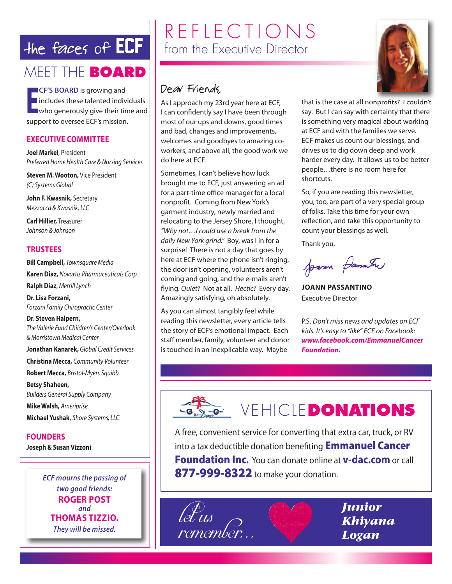## the faces of ECF

### MEET THE **BOARD**

**ECF'S BOARD** is growing and<br>**Example 1** includes these talented individuals<br>who generously give their time and **CF'S BOARD** is growing and Includes these talented individuals support to oversee ECF's mission.

### **ExECuTIvE COMMITTEE**

**Joel Markel**, President Preferred Home Health Care & Nursing Services

**Steven M. Wooton,** Vice President (C) Systems Global

**John f. Kwasnik,** Secretary Mezzacca & Kwasnik, LLC

**Carl Hillier,** Treasurer Johnson & Johnson

### **TRuSTEES**

**Bill Campbell,** Townsquare Media **Karen Diaz,** Novartis Pharmaceuticals Corp.

**Ralph Diaz**, Merrill Lynch

**Dr. Lisa forzani,** Forzani Family Chiropractic Center

**Dr. Steven Halpern,** The Valerie Fund Children's Center/Overlook & Morristown Medical Center

**Jonathan Kanarek,** Global Credit Services

**Christina Mecca,** Community Volunteer

**Robert Mecca,** Bristol-Myers Squibb **Betsy Shaheen,**

Builders General Supply Company **Mike Walsh,** Ameriprise **Michael yushak,** Shore Systems, LLC

**fOuNDERS**

**Joseph & Susan vizzoni**

*ECF mourns the passing of two good friends:* **ROgER POST** *and* **THOMAS TIzzIO.** *They will be missed.*

## REFLECTIONS from the Executive Director

### Dear Friends,

As I approach my 23rd year here at ECF, I can confidently say I have been through most of our ups and downs, good times and bad, changes and improvements, welcomes and goodbyes to amazing coworkers, and above all, the good work we do here at ECF.

Sometimes, I can't believe how luck brought me to ECF, just answering an ad for a part-time office manager for a local nonprofit. Coming from New York's garment industry, newly married and relocating to the Jersey Shore, I thought, "Why not…I could use a break from the daily New York grind." Boy, was I in for a surprise! There is not a day that goes by here at ECF where the phone isn't ringing, the door isn't opening, volunteers aren't coming and going, and the e-mails aren't flying. Quiet? Not at all. Hectic? Every day. Amazingly satisfying, oh absolutely.

As you can almost tangibly feel while reading this newsletter, every article tells the story of ECF's emotional impact. Each staff member, family, volunteer and donor is touched in an inexplicable way. Maybe



that is the case at all nonprofits? I couldn't say. But I can say with certainty that there is something very magical about working at ECF and with the families we serve. ECF makes us count our blessings, and drives us to dig down deep and work harder every day. It allows us to be better people…there is no room here for shortcuts.

So, if you are reading this newsletter, you, too, are part of a very special group of folks. Take this time for your own reflection, and take this opportunity to count your blessings as well.

Thank you,

Joann Jasutre

**JOANN PASSANTINO** Executive Director

P.S. Don't miss news and updates on ECF kids. It's easy to "like" ECF on Facebook: *www.facebook.com/EmmanuelCancer Foundation.*

**SECONDUCLE DONATIONS** 

A free, convenient service for converting that extra car, truck, or RV into a tax deductible donation benefiting **Emmanuel Cancer Foundation Inc.** You can donate online at **v-dac.com** or call **877-999-8322** to make your donation.

 $L\epsilon_{II}$ remember *Junior Khiyana Logan*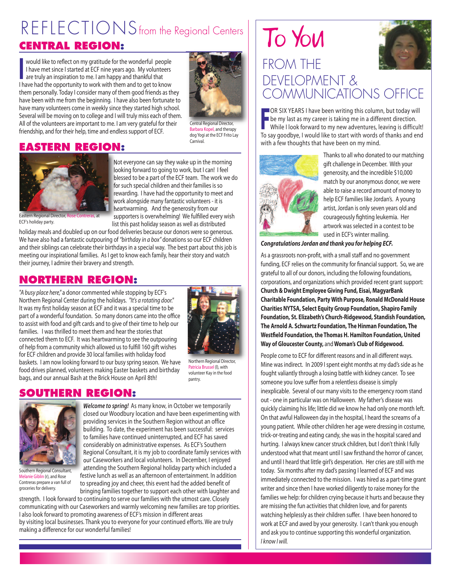# REFLECTIONS from the Regional Centers

### **CENTRAL REGION:**

I would like to reflect on my gratitude for the wonderful people I have met since I started at ECF nine years ago. My volunteers are truly an inspiration to me. I am happy and thankful that I have had the opportunity to work with them and to get to know them personally. Today I consider many of them good friends as they have been with me from the beginning. I have also been fortunate to have many volunteers come in weekly since they started high school. Several will be moving on to college and I will truly miss each of them. All of the volunteers are important to me. I am very grateful for their friendship, and for their help, time and endless support of ECF.



Central Regional Director, Barbara Kopel, and therapy dog Yogi at the ECF Frito Lay **Carnival** 

### **EASTERN REGION:**



Eastern Regional Director, ECF's holiday party.

Not everyone can say they wake up in the morning looking forward to going to work, but I can! I feel blessed to be a part of the ECF team. The work we do for such special children and their families is so rewarding. I have had the opportunity to meet and work alongside many fantastic volunteers - it is heartwarming. And the generosity from our supporters is overwhelming! We fulfilled every wish list this past holiday season as well as distributed

holiday meals and doubled up on our food deliveries because our donors were so generous. We have also had a fantastic outpouring of "birthday in a box" donations so our ECF children and their siblings can celebrate their birthdays in a special way. The best part about this job is meeting our inspirational families. As I get to know each family, hear their story and watch their journey, I admire their bravery and strength.

### **NORTHERN REGION:**

"A busy place here," a donor commented while stopping by ECF's Northern Regional Center during the holidays. "It's a rotating door." It was my first holiday season at ECF and it was a special time to be part of a wonderful foundation. So many donors came into the office to assist with food and gift cards and to give of their time to help our families. I was thrilled to meet them and hear the stories that connected them to ECF. It was heartwarming to see the outpouring of help from a community which allowed us to fulfill 160 gift wishes for ECF children and provide 30 local families with holiday food baskets. I am now looking forward to our busy spring season. We have food drives planned, volunteers making Easter baskets and birthday bags, and our annual Bash at the Brick House on April 8th!



Patricia Brussel (l), with volunteer Kay in the food

pantry.

**SOUTHERN REGION:**



Southern Regional Consultant, Melanie Giblin (r), and Rose Contreras prepare a van full of groceries for delivery.

*Welcome to spring!* As many know, in October we temporarily closed our Woodbury location and have been experimenting with providing services in the Southern Region without an office building. To date, the experiment has been successful: services to families have continued uninterrupted, and ECF has saved considerably on administrative expenses. As ECF's Southern Regional Consultant, it is my job to coordinate family services with our Caseworkers and local volunteers. In December, I enjoyed attending the Southern Regional holiday party which included a festive lunch as well as an afternoon of entertainment. In addition to spreading joy and cheer, this event had the added benefit of bringing families together to support each other with laughter and

strength. I look forward to continuing to serve our families with the utmost care. Closely communicating with our Caseworkers and warmly welcoming new families are top priorities. I also look forward to promoting awareness of ECF's mission in different areas by visiting local businesses. Thank you to everyone for your continued efforts. We are truly making a difference for our wonderful families!

# To You



### FROM THE DEVELOPMENT & COMMUNICATIONS OFFICE

F OR SIx YEARS I have been writing this column, but today will be my last as my career is taking me in a different direction. While I look forward to my new adventures, leaving is difficult! To say goodbye, I would like to start with words of thanks and end with a few thoughts that have been on my mind.



Thanks to all who donated to our matching gift challenge in December. With your generosity, and the incredible \$10,000 match by our anonymous donor, we were able to raise a record amount of money to help ECF families like Jordan's. A young artist, Jordan is only seven years old and courageously fighting leukemia. Her artwork was selected in a contest to be used in ECF's winter mailing.

*Congratulations Jordan and thank you for helping ECF.*

As a grassroots non-profit, with a small staff and no government funding, ECF relies on the community for financial support. So, we are grateful to all of our donors, including the following foundations, corporations, and organizations which provided recent grant support: **Church & Dwight Employee giving fund, Eisai, MagyarBank Charitable foundation, Party With Purpose, Ronald McDonald House Charities NyTSA, Select Equity group foundation, Shapiro family foundation, St. Elizabeth's Church-Ridgewood, Standish foundation, The Arnold A. Schwartz foundation, The Hinman foundation, The Westfield foundation, the Thomas H. Hamilton foundation, united Way of gloucester County,** and **Woman's Club of Ridgewood.**

People come to ECF for different reasons and in all different ways. Mine was indirect. In 2009 I spent eight months at my dad's side as he fought valiantly through a losing battle with kidney cancer. To see someone you love suffer from a relentless disease is simply inexplicable. Several of our many visits to the emergency room stand out - one in particular was on Halloween. My father's disease was quickly claiming his life; little did we know he had only one month left. On that awful Halloween day in the hospital, I heard the screams of a young patient. While other children her age were dressing in costume, trick-or-treating and eating candy, she was in the hospital scared and hurting. I always knew cancer struck children, but I don't think I fully understood what that meant until I saw firsthand the horror of cancer, and until I heard that little girl's desperation. Her cries are still with me today. Six months after my dad's passing I learned of ECF and was immediately connected to the mission. I was hired as a part-time grant writer and since then I have worked diligently to raise money for the families we help: for children crying because it hurts and because they are missing the fun activities that children love, and for parents watching helplessly as their children suffer. I have been honored to work at ECF and awed by your generosity. I can't thank you enough and ask you to continue supporting this wonderful organization. I know I will.